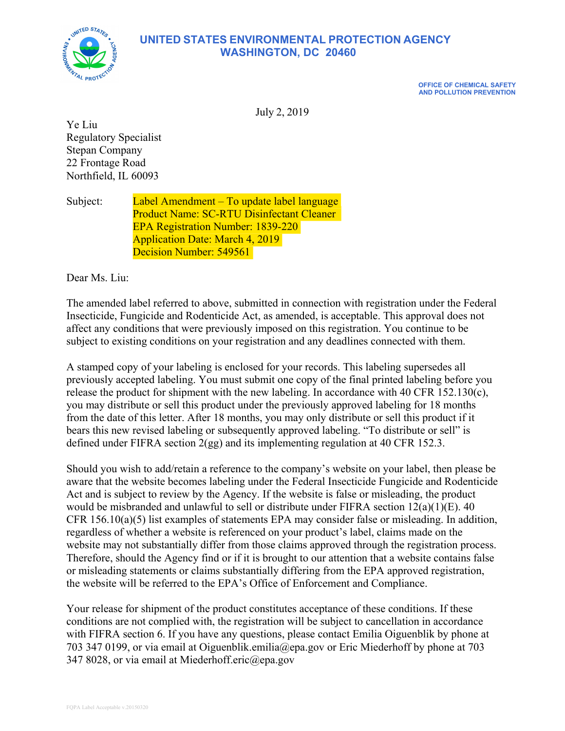**UNITED STATES ENVIRONMENTAL PROTECTION AGENCY WASHINGTON, DC 20460**



**OFFICE OF CHEMICAL SAFETY AND POLLUTION PREVENTION**

July 2, 2019

Ye Liu Regulatory Specialist Stepan Company 22 Frontage Road Northfield, IL 60093

Subject: Label Amendment – To update label language Product Name: SC-RTU Disinfectant Cleaner EPA Registration Number: 1839-220 Application Date: March 4, 2019 Decision Number: 549561

Dear Ms. Liu:

The amended label referred to above, submitted in connection with registration under the Federal Insecticide, Fungicide and Rodenticide Act, as amended, is acceptable. This approval does not affect any conditions that were previously imposed on this registration. You continue to be subject to existing conditions on your registration and any deadlines connected with them.

A stamped copy of your labeling is enclosed for your records. This labeling supersedes all previously accepted labeling. You must submit one copy of the final printed labeling before you release the product for shipment with the new labeling. In accordance with 40 CFR 152.130(c), you may distribute or sell this product under the previously approved labeling for 18 months from the date of this letter. After 18 months, you may only distribute or sell this product if it bears this new revised labeling or subsequently approved labeling. "To distribute or sell" is defined under FIFRA section 2(gg) and its implementing regulation at 40 CFR 152.3.

Should you wish to add/retain a reference to the company's website on your label, then please be aware that the website becomes labeling under the Federal Insecticide Fungicide and Rodenticide Act and is subject to review by the Agency. If the website is false or misleading, the product would be misbranded and unlawful to sell or distribute under FIFRA section 12(a)(1)(E). 40 CFR  $156.10(a)(5)$  list examples of statements EPA may consider false or misleading. In addition, regardless of whether a website is referenced on your product's label, claims made on the website may not substantially differ from those claims approved through the registration process. Therefore, should the Agency find or if it is brought to our attention that a website contains false or misleading statements or claims substantially differing from the EPA approved registration, the website will be referred to the EPA's Office of Enforcement and Compliance.

Your release for shipment of the product constitutes acceptance of these conditions. If these conditions are not complied with, the registration will be subject to cancellation in accordance with FIFRA section 6. If you have any questions, please contact Emilia Oiguenblik by phone at 703 347 0199, or via email at Oiguenblik.emilia@epa.gov or Eric Miederhoff by phone at 703 347 8028, or via email at Miederhoff.eric@epa.gov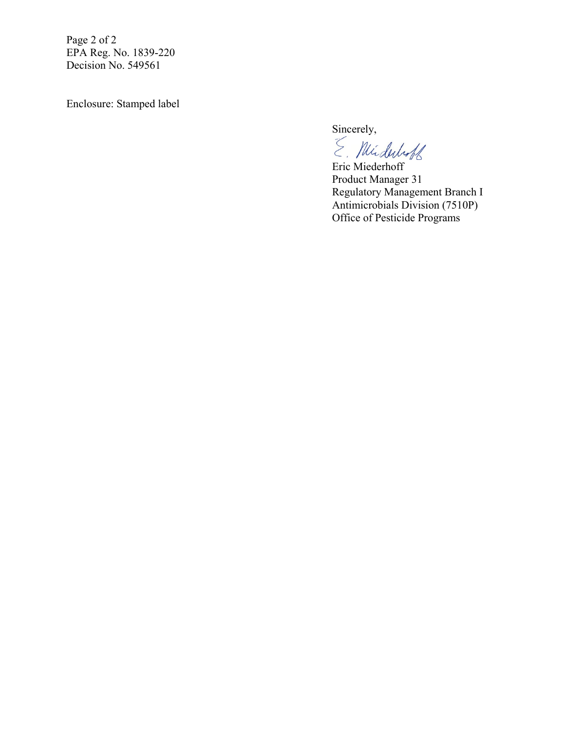Page 2 of 2 EPA Reg. No. 1839-220 Decision No. 549561

Enclosure: Stamped label

Sincerely,<br>E. Wirduberth

Eric Miederhoff Product Manager 31 Regulatory Management Branch I Antimicrobials Division (7510P) Office of Pesticide Programs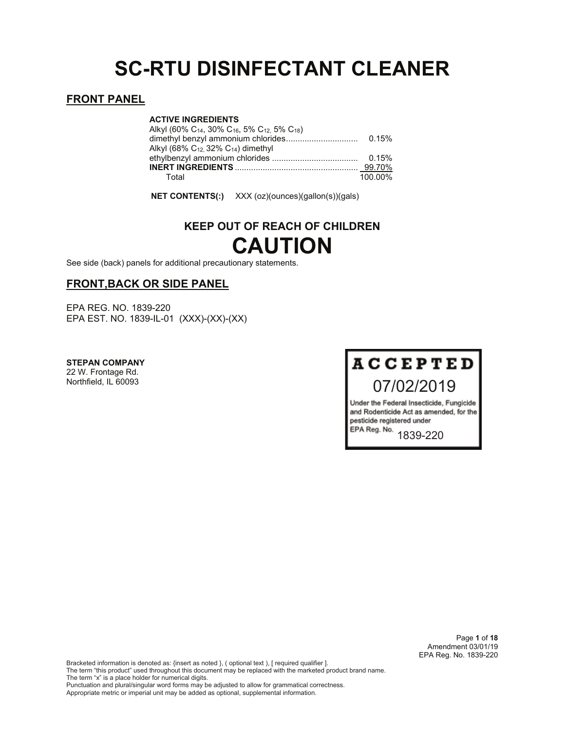## **SC-RTU DISINFECTANT CLEANER**

#### **FRONT PANEL**

#### **ACTIVE INGREDIENTS**

| Alkyl (60% C <sub>14</sub> , 30% C <sub>16</sub> , 5% C <sub>12</sub> , 5% C <sub>18</sub> ) |         |
|----------------------------------------------------------------------------------------------|---------|
|                                                                                              | 0.15%   |
| Alkyl (68% C <sub>12,</sub> 32% C <sub>14</sub> ) dimethyl                                   |         |
|                                                                                              | 0.15%   |
|                                                                                              |         |
| Total                                                                                        | 100.00% |

**NET CONTENTS(:)** XXX (oz)(ounces)(gallon(s))(gals)

## **KEEP OUT OF REACH OF CHILDREN CAUTION**

See side (back) panels for additional precautionary statements.

#### **FRONT,BACK OR SIDE PANEL**

EPA REG. NO. 1839-220 EPA EST. NO. 1839-IL-01 (XXX)-(XX)-(XX)

**STEPAN COMPANY** 22 W. Frontage Rd.

# **ACCEPTED** 07/02/2019

Under the Federal Insecticide, Fungicide and Rodenticide Act as amended, for the pesticide registered under EPA Reg. No.

1839-220

Page **1** of **18** Amendment 03/01/19 EPA Reg. No. 1839-220

Bracketed information is denoted as: {insert as noted }, ( optional text ), [ required qualifier ]. The term "this product" used throughout this document may be replaced with the marketed product brand name. The term "x" is a place holder for numerical digits. Punctuation and plural/singular word forms may be adjusted to allow for grammatical correctness.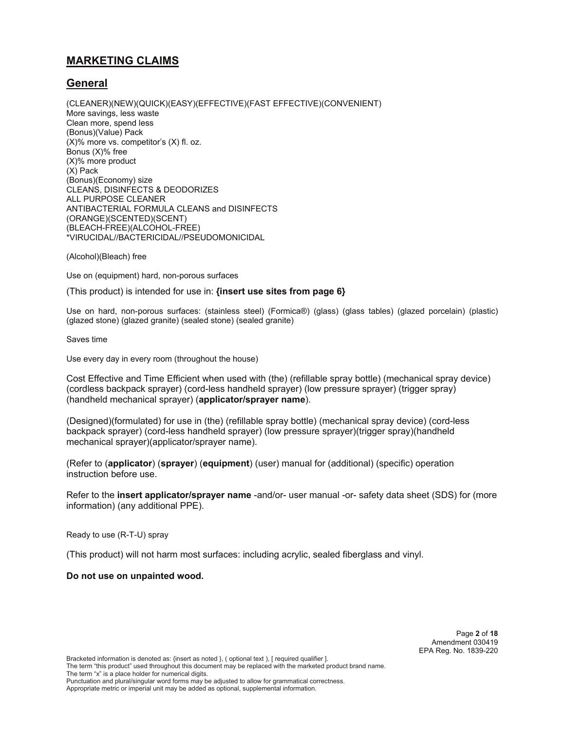### **MARKETING CLAIMS**

## **General**

(CLEANER)(NEW)(QUICK)(EASY)(EFFECTIVE)(FAST EFFECTIVE)(CONVENIENT) More savings, less waste Clean more, spend less (Bonus)(Value) Pack  $(X)$ % more vs. competitor's  $(X)$  fl. oz. Bonus (X)% free (X)% more product (X) Pack (Bonus)(Economy) size CLEANS, DISINFECTS & DEODORIZES ALL PURPOSE CLEANER ANTIBACTERIAL FORMULA CLEANS and DISINFECTS (ORANGE)(SCENTED)(SCENT) (BLEACH-FREE)(ALCOHOL-FREE) \*VIRUCIDAL//BACTERICIDAL//PSEUDOMONICIDAL

(Alcohol)(Bleach) free

Use on (equipment) hard, non-porous surfaces

(This product) is intended for use in: **{insert use sites from page 6}**

Use on hard, non-porous surfaces: (stainless steel) (Formica®) (glass) (glass tables) (glazed porcelain) (plastic) (glazed stone) (glazed granite) (sealed stone) (sealed granite)

Saves time

Use every day in every room (throughout the house)

Cost Effective and Time Efficient when used with (the) (refillable spray bottle) (mechanical spray device) (cordless backpack sprayer) (cord-less handheld sprayer) (low pressure sprayer) (trigger spray) (handheld mechanical sprayer) (**applicator/sprayer name**).

(Designed)(formulated) for use in (the) (refillable spray bottle) (mechanical spray device) (cord-less backpack sprayer) (cord-less handheld sprayer) (low pressure sprayer)(trigger spray)(handheld mechanical sprayer)(applicator/sprayer name).

(Refer to (**applicator**) (**sprayer**) (**equipment**) (user) manual for (additional) (specific) operation instruction before use.

Refer to the **insert applicator/sprayer name** -and/or- user manual -or- safety data sheet (SDS) for (more information) (any additional PPE).

Ready to use (R-T-U) spray

(This product) will not harm most surfaces: including acrylic, sealed fiberglass and vinyl.

**Do not use on unpainted wood.**

Page **2** of **18** Amendment 030419 EPA Reg. No. 1839-220

Bracketed information is denoted as: {insert as noted }, ( optional text ), [ required qualifier ].

The term "this product" used throughout this document may be replaced with the marketed product brand name. The term "x" is a place holder for numerical digits.

Punctuation and plural/singular word forms may be adjusted to allow for grammatical correctness.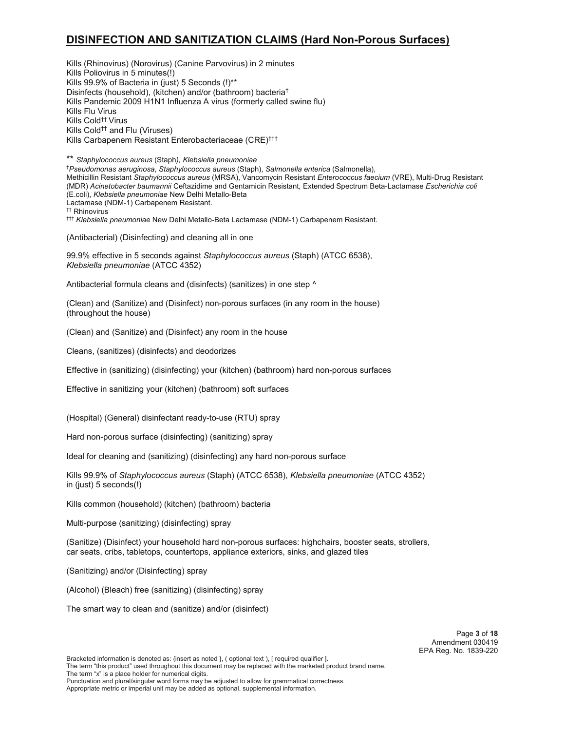### **DISINFECTION AND SANITIZATION CLAIMS (Hard Non-Porous Surfaces)**

Kills (Rhinovirus) (Norovirus) (Canine Parvovirus) in 2 minutes Kills Poliovirus in 5 minutes(!) Kills 99.9% of Bacteria in (just) 5 Seconds (!)\*\* Disinfects (household), (kitchen) and/or (bathroom) bacteria† Kills Pandemic 2009 H1N1 Influenza A virus (formerly called swine flu) Kills Flu Virus Kills Cold†† Virus Kills Cold†† and Flu (Viruses) Kills Carbapenem Resistant Enterobacteriaceae (CRE)†††

\*\* *Staphylococcus aureus* (Staph*), Klebsiella pneumoniae* † *Pseudomonas aeruginosa*, *Staphylococcus aureus* (Staph), *Salmonella enterica* (Salmonella), Methicillin Resistant *Staphylococcus aureus* (MRSA), Vancomycin Resistant *Enterococcus faecium* (VRE), Multi-Drug Resistant (MDR) *Acinetobacter baumannii* Ceftazidime and Gentamicin Resistant*,* Extended Spectrum Beta-Lactamase *Escherichia coli*  (E.coli), *Klebsiella pneumoniae* New Delhi Metallo-Beta Lactamase (NDM-1) Carbapenem Resistant.<br># Rhinovirus

†† Rhinovirus ††† *Klebsiella pneumoniae* New Delhi Metallo-Beta Lactamase (NDM-1) Carbapenem Resistant.

(Antibacterial) (Disinfecting) and cleaning all in one

99.9% effective in 5 seconds against *Staphylococcus aureus* (Staph) (ATCC 6538), *Klebsiella pneumoniae* (ATCC 4352)

Antibacterial formula cleans and (disinfects) (sanitizes) in one step  $\wedge$ 

(Clean) and (Sanitize) and (Disinfect) non-porous surfaces (in any room in the house) (throughout the house)

(Clean) and (Sanitize) and (Disinfect) any room in the house

Cleans, (sanitizes) (disinfects) and deodorizes

Effective in (sanitizing) (disinfecting) your (kitchen) (bathroom) hard non-porous surfaces

Effective in sanitizing your (kitchen) (bathroom) soft surfaces

(Hospital) (General) disinfectant ready-to-use (RTU) spray

Hard non-porous surface (disinfecting) (sanitizing) spray

Ideal for cleaning and (sanitizing) (disinfecting) any hard non-porous surface

Kills 99.9% of *Staphylococcus aureus* (Staph) (ATCC 6538), *Klebsiella pneumoniae* (ATCC 4352) in (just) 5 seconds(!)

Kills common (household) (kitchen) (bathroom) bacteria

Multi-purpose (sanitizing) (disinfecting) spray

(Sanitize) (Disinfect) your household hard non-porous surfaces: highchairs, booster seats, strollers, car seats, cribs, tabletops, countertops, appliance exteriors, sinks, and glazed tiles

(Sanitizing) and/or (Disinfecting) spray

(Alcohol) (Bleach) free (sanitizing) (disinfecting) spray

The smart way to clean and (sanitize) and/or (disinfect)

Page **3** of **18** Amendment 030419 EPA Reg. No. 1839-220

Bracketed information is denoted as: {insert as noted }, ( optional text ), [ required qualifier ].

The term "this product" used throughout this document may be replaced with the marketed product brand name.

The term "x" is a place holder for numerical digits.

Punctuation and plural/singular word forms may be adjusted to allow for grammatical correctness.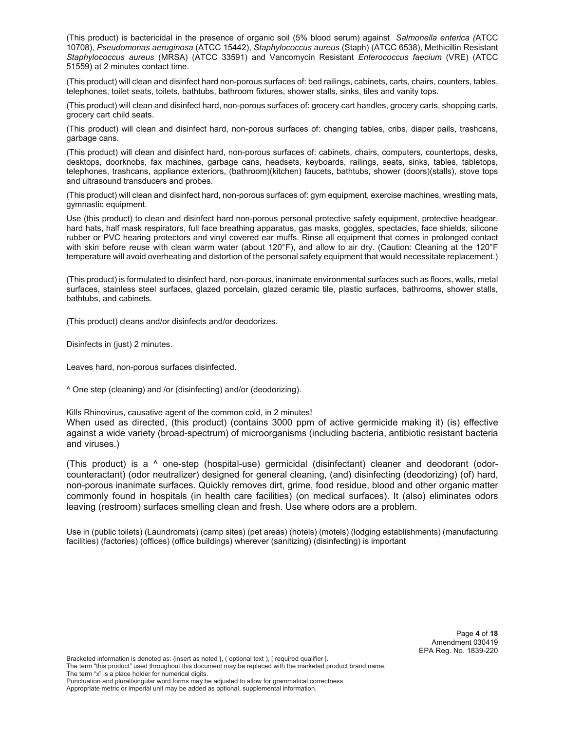(This product) is bactericidal in the presence of organic soil (5% blood serum) against *Salmonella enterica (*ATCC 10708), *Pseudomonas aeruginosa* (ATCC 15442), *Staphylococcus aureus* (Staph) (ATCC 6538), Methicillin Resistant *Staphylococcus aureus* (MRSA) (ATCC 33591) and Vancomycin Resistant *Enterococcus faecium* (VRE) (ATCC 51559) at 2 minutes contact time.

(This product) will clean and disinfect hard non-porous surfaces of: bed railings, cabinets, carts, chairs, counters, tables, telephones, toilet seats, toilets, bathtubs, bathroom fixtures, shower stalls, sinks, tiles and vanity tops.

(This product) will clean and disinfect hard, non-porous surfaces of: grocery cart handles, grocery carts, shopping carts, grocery cart child seats.

(This product) will clean and disinfect hard, non-porous surfaces of: changing tables, cribs, diaper pails, trashcans, garbage cans.

(This product) will clean and disinfect hard, non-porous surfaces of: cabinets, chairs, computers, countertops, desks, desktops, doorknobs, fax machines, garbage cans, headsets, keyboards, railings, seats, sinks, tables, tabletops, telephones, trashcans, appliance exteriors, (bathroom)(kitchen) faucets, bathtubs, shower (doors)(stalls), stove tops and ultrasound transducers and probes.

(This product) will clean and disinfect hard, non-porous surfaces of: gym equipment, exercise machines, wrestling mats, gymnastic equipment.

Use (this product) to clean and disinfect hard non-porous personal protective safety equipment, protective headgear, hard hats, half mask respirators, full face breathing apparatus, gas masks, goggles, spectacles, face shields, silicone rubber or PVC hearing protectors and vinyl covered ear muffs. Rinse all equipment that comes in prolonged contact with skin before reuse with clean warm water (about 120°F), and allow to air dry. (Caution: Cleaning at the 120°F temperature will avoid overheating and distortion of the personal safety equipment that would necessitate replacement.)

(This product) is formulated to disinfect hard, non-porous, inanimate environmental surfaces such as floors, walls, metal surfaces, stainless steel surfaces, glazed porcelain, glazed ceramic tile, plastic surfaces, bathrooms, shower stalls, bathtubs, and cabinets.

(This product) cleans and/or disinfects and/or deodorizes.

Disinfects in (just) 2 minutes.

Leaves hard, non-porous surfaces disinfected.

^ One step (cleaning) and /or (disinfecting) and/or (deodorizing).

Kills Rhinovirus, causative agent of the common cold, in 2 minutes!

When used as directed, (this product) (contains 3000 ppm of active germicide making it) (is) effective against a wide variety (broad-spectrum) of microorganisms (including bacteria, antibiotic resistant bacteria and viruses.)

(This product) is a ^ one-step (hospital-use) germicidal (disinfectant) cleaner and deodorant (odorcounteractant) (odor neutralizer) designed for general cleaning, (and) disinfecting (deodorizing) (of) hard, non-porous inanimate surfaces. Quickly removes dirt, grime, food residue, blood and other organic matter commonly found in hospitals (in health care facilities) (on medical surfaces). It (also) eliminates odors leaving (restroom) surfaces smelling clean and fresh. Use where odors are a problem.

Use in (public toilets) (Laundromats) (camp sites) (pet areas) (hotels) (motels) (lodging establishments) (manufacturing facilities) (factories) (offices) (office buildings) wherever (sanitizing) (disinfecting) is important

> Page **4** of **18** Amendment 030419 EPA Reg. No. 1839-220

Bracketed information is denoted as: {insert as noted }, ( optional text ), [ required qualifier ]. The term "this product" used throughout this document may be replaced with the marketed product brand name.

The term "x" is a place holder for numerical digits.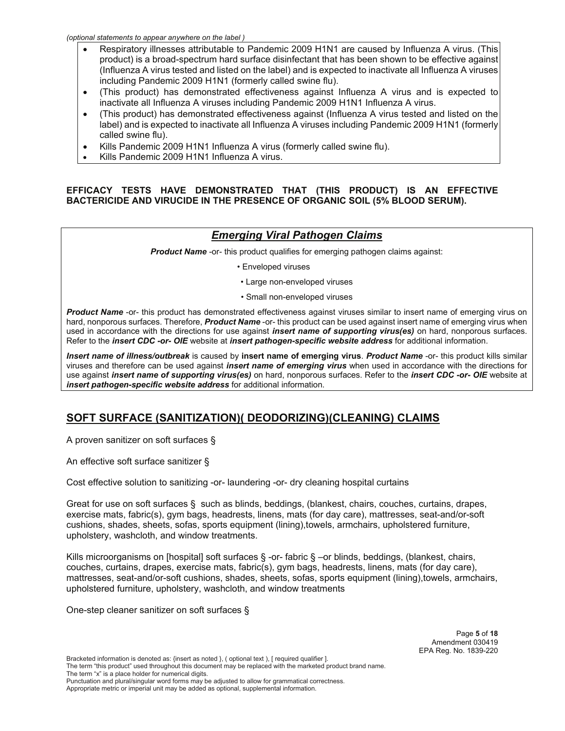*(optional statements to appear anywhere on the label )*

- x Respiratory illnesses attributable to Pandemic 2009 H1N1 are caused by Influenza A virus. (This product) is a broad-spectrum hard surface disinfectant that has been shown to be effective against (Influenza A virus tested and listed on the label) and is expected to inactivate all Influenza A viruses including Pandemic 2009 H1N1 (formerly called swine flu).
- (This product) has demonstrated effectiveness against Influenza A virus and is expected to inactivate all Influenza A viruses including Pandemic 2009 H1N1 Influenza A virus.
- (This product) has demonstrated effectiveness against (Influenza A virus tested and listed on the label) and is expected to inactivate all Influenza A viruses including Pandemic 2009 H1N1 (formerly called swine flu).
- Kills Pandemic 2009 H1N1 Influenza A virus (formerly called swine flu).
- Kills Pandemic 2009 H1N1 Influenza A virus.

#### **EFFICACY TESTS HAVE DEMONSTRATED THAT (THIS PRODUCT) IS AN EFFECTIVE BACTERICIDE AND VIRUCIDE IN THE PRESENCE OF ORGANIC SOIL (5% BLOOD SERUM).**

#### *Emerging Viral Pathogen Claims*

**Product Name** -or- this product qualifies for emerging pathogen claims against:

• Enveloped viruses

- Large non-enveloped viruses
- Small non-enveloped viruses

**Product Name** -or- this product has demonstrated effectiveness against viruses similar to insert name of emerging virus on hard, nonporous surfaces. Therefore, *Product Name* -or- this product can be used against insert name of emerging virus when used in accordance with the directions for use against *insert name of supporting virus(es)* on hard, nonporous surfaces. Refer to the *insert CDC -or- OIE* website at *insert pathogen-specific website address* for additional information.

*Insert name of illness/outbreak* is caused by **insert name of emerging virus**. *Product Name* -or- this product kills similar viruses and therefore can be used against *insert name of emerging virus* when used in accordance with the directions for use against *insert name of supporting virus(es)* on hard, nonporous surfaces. Refer to the *insert CDC -or- OIE* website at *insert pathogen-specific website address* for additional information.

## **SOFT SURFACE (SANITIZATION)( DEODORIZING)(CLEANING) CLAIMS**

A proven sanitizer on soft surfaces §

An effective soft surface sanitizer §

Cost effective solution to sanitizing -or- laundering -or- dry cleaning hospital curtains

Great for use on soft surfaces § such as blinds, beddings, (blankest, chairs, couches, curtains, drapes, exercise mats, fabric(s), gym bags, headrests, linens, mats (for day care), mattresses, seat-and/or-soft cushions, shades, sheets, sofas, sports equipment (lining),towels, armchairs, upholstered furniture, upholstery, washcloth, and window treatments.

Kills microorganisms on [hospital] soft surfaces § -or- fabric § -or blinds, beddings, (blankest, chairs, couches, curtains, drapes, exercise mats, fabric(s), gym bags, headrests, linens, mats (for day care), mattresses, seat-and/or-soft cushions, shades, sheets, sofas, sports equipment (lining),towels, armchairs, upholstered furniture, upholstery, washcloth, and window treatments

One-step cleaner sanitizer on soft surfaces §

Bracketed information is denoted as: {insert as noted }, ( optional text ), [ required qualifier ].

The term "this product" used throughout this document may be replaced with the marketed product brand name.

The term "x" is a place holder for numerical digits.

Punctuation and plural/singular word forms may be adjusted to allow for grammatical correctness.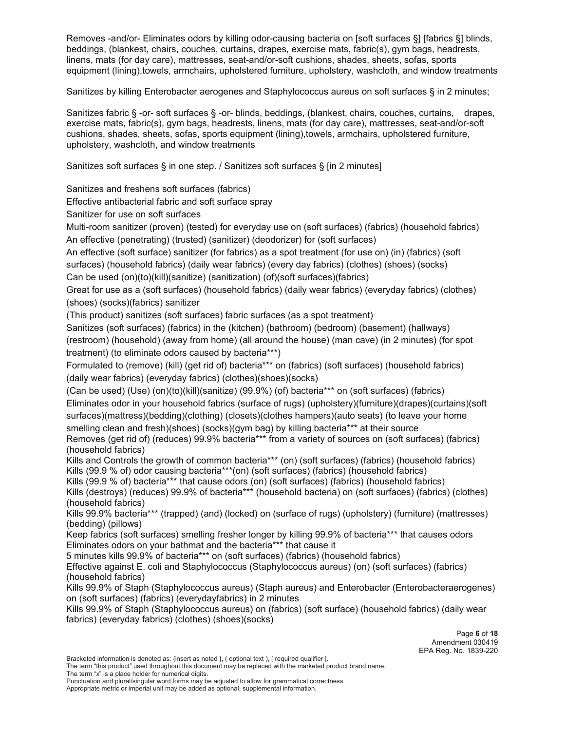Removes -and/or- Eliminates odors by killing odor-causing bacteria on [soft surfaces §] [fabrics §] blinds, beddings, (blankest, chairs, couches, curtains, drapes, exercise mats, fabric(s), gym bags, headrests, linens, mats (for day care), mattresses, seat-and/or-soft cushions, shades, sheets, sofas, sports equipment (lining),towels, armchairs, upholstered furniture, upholstery, washcloth, and window treatments

Sanitizes by killing Enterobacter aerogenes and Staphylococcus aureus on soft surfaces § in 2 minutes;

Sanitizes fabric § -or- soft surfaces § -or- blinds, beddings, (blankest, chairs, couches, curtains, drapes, exercise mats, fabric(s), gym bags, headrests, linens, mats (for day care), mattresses, seat-and/or-soft cushions, shades, sheets, sofas, sports equipment (lining),towels, armchairs, upholstered furniture, upholstery, washcloth, and window treatments

Sanitizes soft surfaces § in one step. / Sanitizes soft surfaces § [in 2 minutes]

Sanitizes and freshens soft surfaces (fabrics)

Effective antibacterial fabric and soft surface spray

Sanitizer for use on soft surfaces

Multi-room sanitizer (proven) (tested) for everyday use on (soft surfaces) (fabrics) (household fabrics) An effective (penetrating) (trusted) (sanitizer) (deodorizer) for (soft surfaces)

An effective (soft surface) sanitizer (for fabrics) as a spot treatment (for use on) (in) (fabrics) (soft surfaces) (household fabrics) (daily wear fabrics) (every day fabrics) (clothes) (shoes) (socks)

Can be used (on)(to)(kill)(sanitize) (sanitization) (of)(soft surfaces)(fabrics)

Great for use as a (soft surfaces) (household fabrics) (daily wear fabrics) (everyday fabrics) (clothes) (shoes) (socks)(fabrics) sanitizer

(This product) sanitizes (soft surfaces) fabric surfaces (as a spot treatment)

Sanitizes (soft surfaces) (fabrics) in the (kitchen) (bathroom) (bedroom) (basement) (hallways) (restroom) (household) (away from home) (all around the house) (man cave) (in 2 minutes) (for spot treatment) (to eliminate odors caused by bacteria\*\*\*)

Formulated to (remove) (kill) (get rid of) bacteria\*\*\* on (fabrics) (soft surfaces) (household fabrics) (daily wear fabrics) (everyday fabrics) (clothes)(shoes)(socks)

(Can be used) (Use) (on)(to)(kill)(sanitize) (99.9%) (of) bacteria\*\*\* on (soft surfaces) (fabrics) Eliminates odor in your household fabrics (surface of rugs) (upholstery)(furniture)(drapes)(curtains)(soft surfaces)(mattress)(bedding)(clothing) (closets)(clothes hampers)(auto seats) (to leave your home

smelling clean and fresh)(shoes) (socks)(gym bag) by killing bacteria\*\*\* at their source Removes (get rid of) (reduces) 99.9% bacteria\*\*\* from a variety of sources on (soft surfaces) (fabrics) (household fabrics)

Kills and Controls the growth of common bacteria\*\*\* (on) (soft surfaces) (fabrics) (household fabrics) Kills (99.9 % of) odor causing bacteria\*\*\*(on) (soft surfaces) (fabrics) (household fabrics)

Kills (99.9 % of) bacteria\*\*\* that cause odors (on) (soft surfaces) (fabrics) (household fabrics)

Kills (destroys) (reduces) 99.9% of bacteria\*\*\* (household bacteria) on (soft surfaces) (fabrics) (clothes) (household fabrics)

Kills 99.9% bacteria\*\*\* (trapped) (and) (locked) on (surface of rugs) (upholstery) (furniture) (mattresses) (bedding) (pillows)

Keep fabrics (soft surfaces) smelling fresher longer by killing 99.9% of bacteria\*\*\* that causes odors Eliminates odors on your bathmat and the bacteria\*\*\* that cause it

5 minutes kills 99.9% of bacteria\*\*\* on (soft surfaces) (fabrics) (household fabrics)

Effective against E. coli and Staphylococcus (Staphylococcus aureus) (on) (soft surfaces) (fabrics) (household fabrics)

Kills 99.9% of Staph (Staphylococcus aureus) (Staph aureus) and Enterobacter (Enterobacteraerogenes) on (soft surfaces) (fabrics) (everydayfabrics) in 2 minutes

Kills 99.9% of Staph (Staphylococcus aureus) on (fabrics) (soft surface) (household fabrics) (daily wear fabrics) (everyday fabrics) (clothes) (shoes)(socks)

Bracketed information is denoted as: {insert as noted }, ( optional text ), [ required qualifier ].

The term "this product" used throughout this document may be replaced with the marketed product brand name. The term "x" is a place holder for numerical digits.

Punctuation and plural/singular word forms may be adjusted to allow for grammatical correctness.

Appropriate metric or imperial unit may be added as optional, supplemental information.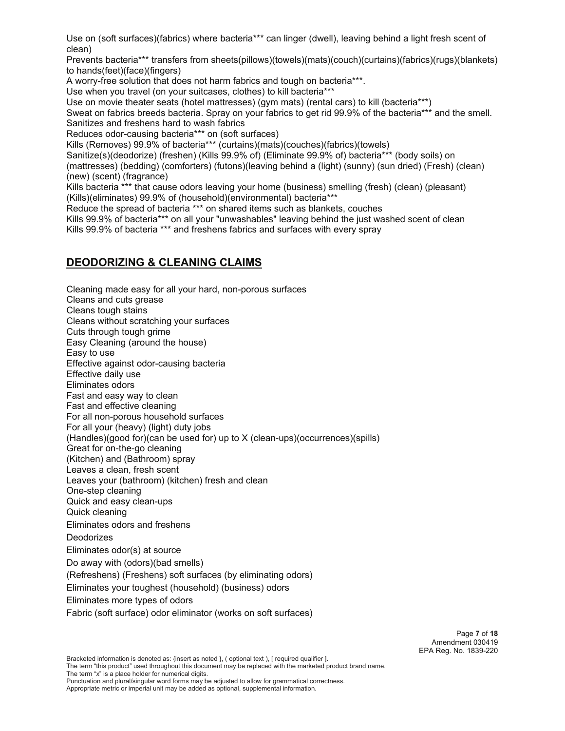Use on (soft surfaces)(fabrics) where bacteria\*\*\* can linger (dwell), leaving behind a light fresh scent of clean)

Prevents bacteria\*\*\* transfers from sheets(pillows)(towels)(mats)(couch)(curtains)(fabrics)(rugs)(blankets) to hands(feet)(face)(fingers)

A worry-free solution that does not harm fabrics and tough on bacteria\*\*\*.

Use when you travel (on your suitcases, clothes) to kill bacteria\*\*\*

Use on movie theater seats (hotel mattresses) (gym mats) (rental cars) to kill (bacteria\*\*\*)

Sweat on fabrics breeds bacteria. Spray on your fabrics to get rid 99.9% of the bacteria\*\*\* and the smell. Sanitizes and freshens hard to wash fabrics

Reduces odor-causing bacteria\*\*\* on (soft surfaces)

Kills (Removes) 99.9% of bacteria\*\*\* (curtains)(mats)(couches)(fabrics)(towels)

Sanitize(s)(deodorize) (freshen) (Kills 99.9% of) (Eliminate 99.9% of) bacteria\*\*\* (body soils) on (mattresses) (bedding) (comforters) (futons)(leaving behind a (light) (sunny) (sun dried) (Fresh) (clean) (new) (scent) (fragrance)

Kills bacteria \*\*\* that cause odors leaving your home (business) smelling (fresh) (clean) (pleasant) (Kills)(eliminates) 99.9% of (household)(environmental) bacteria\*\*\*

Reduce the spread of bacteria \*\*\* on shared items such as blankets, couches

Kills 99.9% of bacteria\*\*\* on all your "unwashables" leaving behind the just washed scent of clean Kills 99.9% of bacteria \*\*\* and freshens fabrics and surfaces with every spray

## **DEODORIZING & CLEANING CLAIMS**

Cleaning made easy for all your hard, non-porous surfaces Cleans and cuts grease Cleans tough stains Cleans without scratching your surfaces Cuts through tough grime Easy Cleaning (around the house) Easy to use Effective against odor-causing bacteria Effective daily use Eliminates odors Fast and easy way to clean Fast and effective cleaning For all non-porous household surfaces For all your (heavy) (light) duty jobs (Handles)(good for)(can be used for) up to X (clean-ups)(occurrences)(spills) Great for on-the-go cleaning (Kitchen) and (Bathroom) spray Leaves a clean, fresh scent Leaves your (bathroom) (kitchen) fresh and clean One-step cleaning Quick and easy clean-ups Quick cleaning Eliminates odors and freshens **Deodorizes** Eliminates odor(s) at source Do away with (odors)(bad smells) (Refreshens) (Freshens) soft surfaces (by eliminating odors) Eliminates your toughest (household) (business) odors Eliminates more types of odors Fabric (soft surface) odor eliminator (works on soft surfaces)

Bracketed information is denoted as: {insert as noted }, ( optional text ), [ required qualifier ]. The term "this product" used throughout this document may be replaced with the marketed product brand name.

The term "x" is a place holder for numerical digits.

Punctuation and plural/singular word forms may be adjusted to allow for grammatical correctness.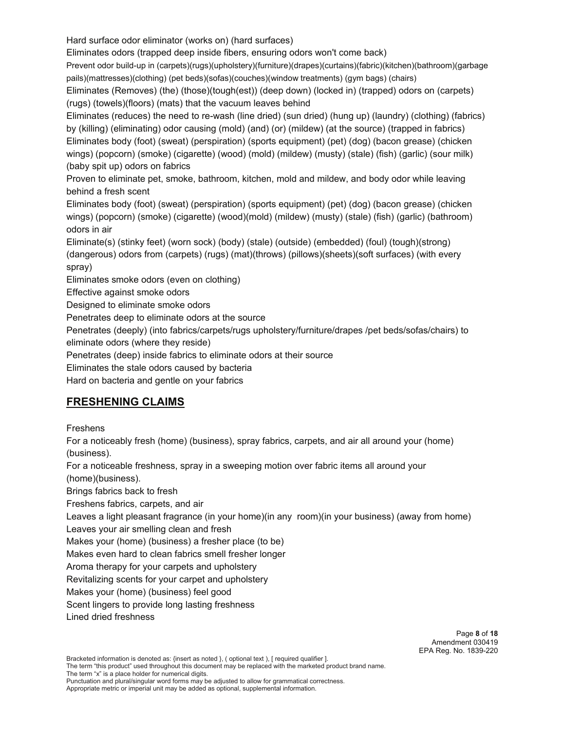Hard surface odor eliminator (works on) (hard surfaces)

Eliminates odors (trapped deep inside fibers, ensuring odors won't come back)

Prevent odor build-up in (carpets)(rugs)(upholstery)(furniture)(drapes)(curtains)(fabric)(kitchen)(bathroom)(garbage pails)(mattresses)(clothing) (pet beds)(sofas)(couches)(window treatments) (gym bags) (chairs)

Eliminates (Removes) (the) (those)(tough(est)) (deep down) (locked in) (trapped) odors on (carpets) (rugs) (towels)(floors) (mats) that the vacuum leaves behind

Eliminates (reduces) the need to re-wash (line dried) (sun dried) (hung up) (laundry) (clothing) (fabrics) by (killing) (eliminating) odor causing (mold) (and) (or) (mildew) (at the source) (trapped in fabrics) Eliminates body (foot) (sweat) (perspiration) (sports equipment) (pet) (dog) (bacon grease) (chicken wings) (popcorn) (smoke) (cigarette) (wood) (mold) (mildew) (musty) (stale) (fish) (garlic) (sour milk) (baby spit up) odors on fabrics

Proven to eliminate pet, smoke, bathroom, kitchen, mold and mildew, and body odor while leaving behind a fresh scent

Eliminates body (foot) (sweat) (perspiration) (sports equipment) (pet) (dog) (bacon grease) (chicken wings) (popcorn) (smoke) (cigarette) (wood)(mold) (mildew) (musty) (stale) (fish) (garlic) (bathroom) odors in air

Eliminate(s) (stinky feet) (worn sock) (body) (stale) (outside) (embedded) (foul) (tough)(strong) (dangerous) odors from (carpets) (rugs) (mat)(throws) (pillows)(sheets)(soft surfaces) (with every spray)

Eliminates smoke odors (even on clothing)

Effective against smoke odors

Designed to eliminate smoke odors

Penetrates deep to eliminate odors at the source

Penetrates (deeply) (into fabrics/carpets/rugs upholstery/furniture/drapes /pet beds/sofas/chairs) to eliminate odors (where they reside)

Penetrates (deep) inside fabrics to eliminate odors at their source

Eliminates the stale odors caused by bacteria

Hard on bacteria and gentle on your fabrics

### **FRESHENING CLAIMS**

Freshens

For a noticeably fresh (home) (business), spray fabrics, carpets, and air all around your (home) (business).

For a noticeable freshness, spray in a sweeping motion over fabric items all around your (home)(business).

Brings fabrics back to fresh

Freshens fabrics, carpets, and air

Leaves a light pleasant fragrance (in your home)(in any room)(in your business) (away from home) Leaves your air smelling clean and fresh

Makes your (home) (business) a fresher place (to be)

Makes even hard to clean fabrics smell fresher longer

Aroma therapy for your carpets and upholstery

Revitalizing scents for your carpet and upholstery

Makes your (home) (business) feel good

Scent lingers to provide long lasting freshness

Lined dried freshness

Bracketed information is denoted as: {insert as noted }, ( optional text ), [ required qualifier ].

The term "this product" used throughout this document may be replaced with the marketed product brand name. The term "x" is a place holder for numerical digits.

Punctuation and plural/singular word forms may be adjusted to allow for grammatical correctness.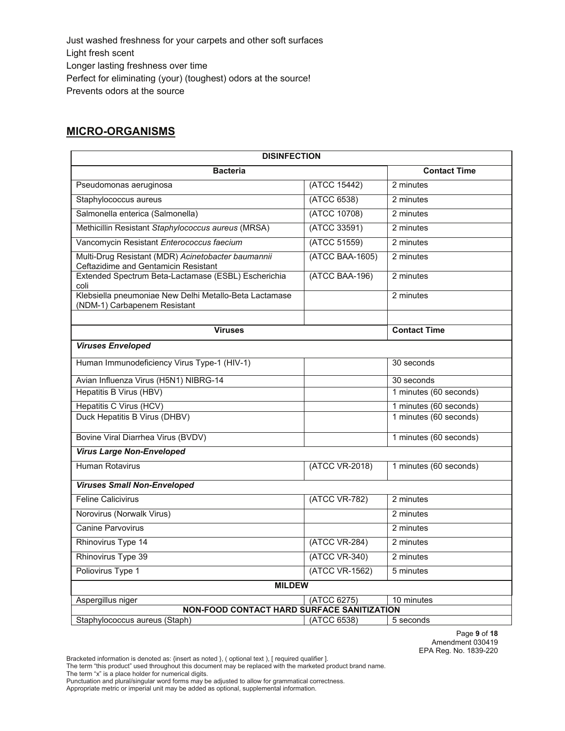Just washed freshness for your carpets and other soft surfaces Light fresh scent Longer lasting freshness over time Perfect for eliminating (your) (toughest) odors at the source! Prevents odors at the source

### **MICRO-ORGANISMS**

| <b>DISINFECTION</b>                                                                        |                 |                        |  |  |  |
|--------------------------------------------------------------------------------------------|-----------------|------------------------|--|--|--|
| <b>Bacteria</b>                                                                            |                 | <b>Contact Time</b>    |  |  |  |
| Pseudomonas aeruginosa                                                                     | (ATCC 15442)    | 2 minutes              |  |  |  |
| Staphylococcus aureus                                                                      | (ATCC 6538)     | 2 minutes              |  |  |  |
| Salmonella enterica (Salmonella)                                                           | (ATCC 10708)    | 2 minutes              |  |  |  |
| Methicillin Resistant Staphylococcus aureus (MRSA)                                         | (ATCC 33591)    | 2 minutes              |  |  |  |
| Vancomycin Resistant Enterococcus faecium                                                  | (ATCC 51559)    | 2 minutes              |  |  |  |
| Multi-Drug Resistant (MDR) Acinetobacter baumannii<br>Ceftazidime and Gentamicin Resistant | (ATCC BAA-1605) | 2 minutes              |  |  |  |
| Extended Spectrum Beta-Lactamase (ESBL) Escherichia<br>coli                                | (ATCC BAA-196)  | 2 minutes              |  |  |  |
| Klebsiella pneumoniae New Delhi Metallo-Beta Lactamase<br>(NDM-1) Carbapenem Resistant     |                 | 2 minutes              |  |  |  |
|                                                                                            |                 |                        |  |  |  |
| <b>Viruses</b>                                                                             |                 | <b>Contact Time</b>    |  |  |  |
| <b>Viruses Enveloped</b>                                                                   |                 |                        |  |  |  |
| Human Immunodeficiency Virus Type-1 (HIV-1)                                                |                 | 30 seconds             |  |  |  |
| Avian Influenza Virus (H5N1) NIBRG-14                                                      |                 | 30 seconds             |  |  |  |
| <b>Hepatitis B Virus (HBV)</b>                                                             |                 | 1 minutes (60 seconds) |  |  |  |
| <b>Hepatitis C Virus (HCV)</b>                                                             |                 | 1 minutes (60 seconds) |  |  |  |
| Duck Hepatitis B Virus (DHBV)                                                              |                 | 1 minutes (60 seconds) |  |  |  |
| Bovine Viral Diarrhea Virus (BVDV)                                                         |                 | 1 minutes (60 seconds) |  |  |  |
| <b>Virus Large Non-Enveloped</b>                                                           |                 |                        |  |  |  |
| <b>Human Rotavirus</b>                                                                     | (ATCC VR-2018)  | 1 minutes (60 seconds) |  |  |  |
| <b>Viruses Small Non-Enveloped</b>                                                         |                 |                        |  |  |  |
| <b>Feline Calicivirus</b>                                                                  | (ATCC VR-782)   | 2 minutes              |  |  |  |
| Norovirus (Norwalk Virus)                                                                  |                 | 2 minutes              |  |  |  |
| <b>Canine Parvovirus</b>                                                                   |                 | 2 minutes              |  |  |  |
| Rhinovirus Type 14                                                                         | (ATCC VR-284)   | 2 minutes              |  |  |  |
| Rhinovirus Type 39                                                                         | (ATCC VR-340)   | 2 minutes              |  |  |  |
| Poliovirus Type 1                                                                          | (ATCC VR-1562)  | 5 minutes              |  |  |  |
| <b>MILDEW</b>                                                                              |                 |                        |  |  |  |
| Aspergillus niger                                                                          | (ATCC 6275)     | 10 minutes             |  |  |  |
| <b>NON-FOOD CONTACT HARD SURFACE SANITIZATION</b>                                          |                 |                        |  |  |  |
| Staphylococcus aureus (Staph)                                                              | (ATCC 6538)     | 5 seconds              |  |  |  |

Page **9** of **18** Amendment 030419 EPA Reg. No. 1839-220

Bracketed information is denoted as: {insert as noted }, ( optional text ), [ required qualifier ].

The term "this product" used throughout this document may be replaced with the marketed product brand name.

The term "x" is a place holder for numerical digits.

Punctuation and plural/singular word forms may be adjusted to allow for grammatical correctness.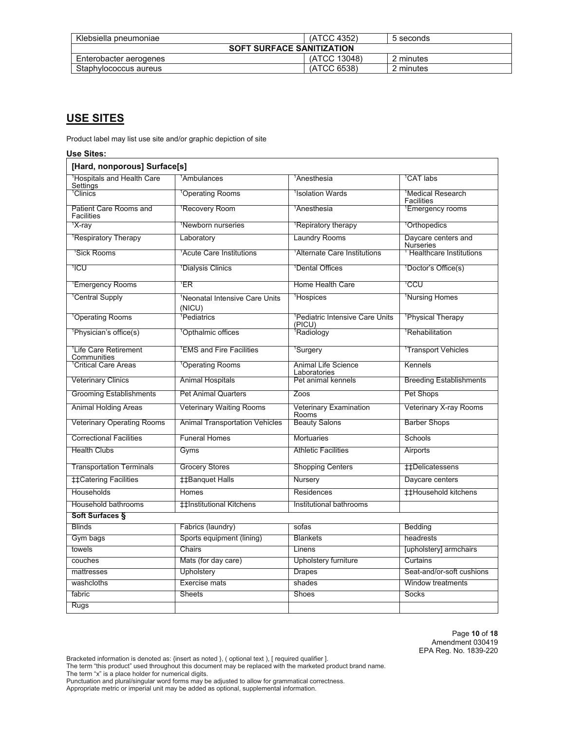| Klebsiella pneumoniae            | (ATCC 4352)  | 5 seconds |  |  |
|----------------------------------|--------------|-----------|--|--|
| <b>SOFT SURFACE SANITIZATION</b> |              |           |  |  |
| Enterobacter aerogenes           | (ATCC 13048) | 2 minutes |  |  |
| Staphylococcus aureus            | (ATCC 6538)  | 2 minutes |  |  |

## **USE SITES**

Product label may list use site and/or graphic depiction of site

| <b>Use Sites:</b><br>[Hard, nonporous] Surface[s] |                                                      |                                                       |                                                    |  |
|---------------------------------------------------|------------------------------------------------------|-------------------------------------------------------|----------------------------------------------------|--|
|                                                   |                                                      |                                                       |                                                    |  |
| Settings<br><sup>1</sup> Clinics                  | <sup>1</sup> Operating Rooms                         | <sup>1</sup> Isolation Wards                          | <sup>1</sup> Medical Research<br><b>Facilities</b> |  |
| Patient Care Rooms and<br><b>Facilities</b>       | <sup>1</sup> Recovery Room                           | <sup>1</sup> Anesthesia                               | <sup>1</sup> Emergency rooms                       |  |
| <sup>1</sup> X-ray                                | <sup>1</sup> Newborn nurseries                       | <sup>1</sup> Repiratory therapy                       | <sup>1</sup> Orthopedics                           |  |
| <sup>1</sup> Respiratory Therapy                  | Laboratory                                           | <b>Laundry Rooms</b>                                  | Daycare centers and<br><b>Nurseries</b>            |  |
| <sup>1</sup> Sick Rooms                           | <sup>1</sup> Acute Care Institutions                 | <sup>1</sup> Alternate Care Institutions              | <sup>1</sup> Healthcare Institutions               |  |
| ੈlCU                                              | <sup>1</sup> Dialysis Clinics                        | <sup>1</sup> Dental Offices                           | <sup>1</sup> Doctor's Office(s)                    |  |
| <sup>1</sup> Emergency Rooms                      | ΈR                                                   | Home Health Care                                      | 1CCU                                               |  |
| <sup>1</sup> Central Supply                       | <sup>1</sup> Neonatal Intensive Care Units<br>(NICU) | <sup>1</sup> Hospices                                 | <sup>1</sup> Nursing Homes                         |  |
| <sup>1</sup> Operating Rooms                      | <sup>1</sup> Pediatrics                              | <sup>1</sup> Pediatric Intensive Care Units<br>(PICU) | <sup>1</sup> Physical Therapy                      |  |
| <sup>1</sup> Physician's office(s)                | <sup>1</sup> Opthalmic offices                       | Radiology                                             | <sup>1</sup> Rehabilitation                        |  |
| <sup>1</sup> Life Care Retirement<br>Communities  | 'EMS and Fire Facilities                             | <sup>1</sup> Surgery                                  | <sup>1</sup> Transport Vehicles                    |  |
| <sup>ı</sup> Critical Care Areas                  | <sup>1</sup> Operating Rooms                         | Animal Life Science<br>Laboratories                   | Kennels                                            |  |
| <b>Veterinary Clinics</b>                         | <b>Animal Hospitals</b>                              | Pet animal kennels                                    | <b>Breeding Establishments</b>                     |  |
| <b>Grooming Establishments</b>                    | <b>Pet Animal Quarters</b>                           | Zoos                                                  | Pet Shops                                          |  |
| <b>Animal Holding Areas</b>                       | <b>Veterinary Waiting Rooms</b>                      | <b>Veterinary Examination</b><br>Rooms                | Veterinary X-ray Rooms                             |  |
| <b>Veterinary Operating Rooms</b>                 | <b>Animal Transportation Vehicles</b>                | <b>Beauty Salons</b>                                  | <b>Barber Shops</b>                                |  |
| <b>Correctional Facilities</b>                    | <b>Funeral Homes</b>                                 | <b>Mortuaries</b>                                     | Schools                                            |  |
| <b>Health Clubs</b>                               | Gyms                                                 | <b>Athletic Facilities</b>                            | Airports                                           |  |
| <b>Transportation Terminals</b>                   | <b>Grocery Stores</b>                                | <b>Shopping Centers</b>                               | <b>‡‡Delicatessens</b>                             |  |
| <b>‡‡Catering Facilities</b>                      | ##Banquet Halls                                      | Nursery                                               | Daycare centers                                    |  |
| Households                                        | Homes                                                | Residences                                            | <b>±</b> Household kitchens                        |  |
| Household bathrooms                               | <b>‡‡Institutional Kitchens</b>                      | Institutional bathrooms                               |                                                    |  |
| Soft Surfaces §                                   |                                                      |                                                       |                                                    |  |
| <b>Blinds</b>                                     | Fabrics (laundry)                                    | sofas                                                 | Bedding                                            |  |
| Gym bags                                          | Sports equipment (lining)                            | <b>Blankets</b>                                       | headrests                                          |  |
| towels                                            | Chairs                                               | Linens                                                | [upholstery] armchairs                             |  |
| couches                                           | Mats (for day care)                                  | <b>Upholstery furniture</b>                           | <b>Curtains</b>                                    |  |
| mattresses                                        | Upholstery                                           | <b>Drapes</b>                                         | Seat-and/or-soft cushions                          |  |
| washcloths                                        | <b>Exercise mats</b>                                 | shades                                                | <b>Window treatments</b>                           |  |
| fabric                                            | <b>Sheets</b>                                        | Shoes                                                 | Socks                                              |  |
| Rugs                                              |                                                      |                                                       |                                                    |  |

Page **10** of **18** Amendment 030419 EPA Reg. No. 1839-220

Bracketed information is denoted as: {insert as noted }, ( optional text ), [ required qualifier ].

The term "this product" used throughout this document may be replaced with the marketed product brand name. The term "x" is a place holder for numerical digits.

Punctuation and plural/singular word forms may be adjusted to allow for grammatical correctness.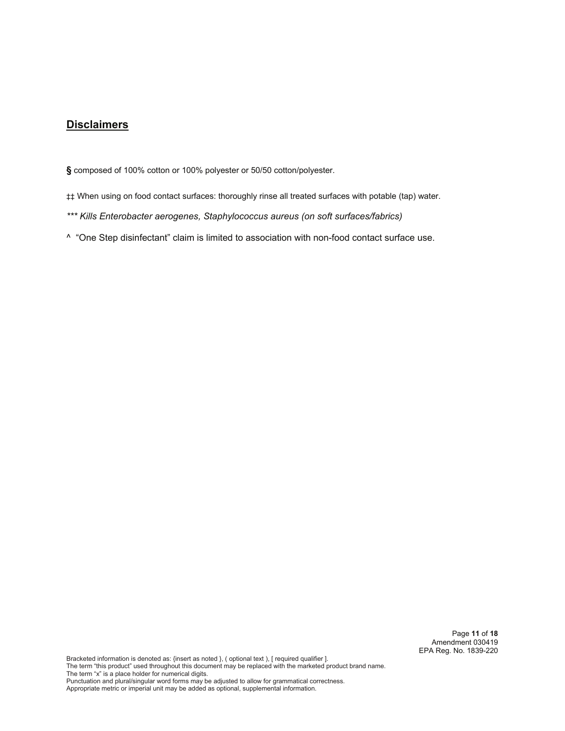#### **Disclaimers**

**§** composed of 100% cotton or 100% polyester or 50/50 cotton/polyester.

- ‡‡ When using on food contact surfaces: thoroughly rinse all treated surfaces with potable (tap) water.
- *\*\*\* Kills Enterobacter aerogenes, Staphylococcus aureus (on soft surfaces/fabrics)*
- ^ "One Step disinfectant" claim is limited to association with non-food contact surface use.

Page **11** of **18** Amendment 030419 EPA Reg. No. 1839-220

Bracketed information is denoted as: {insert as noted }, ( optional text ), [ required qualifier ]. The term "this product" used throughout this document may be replaced with the marketed product brand name. The term "x" is a place holder for numerical digits.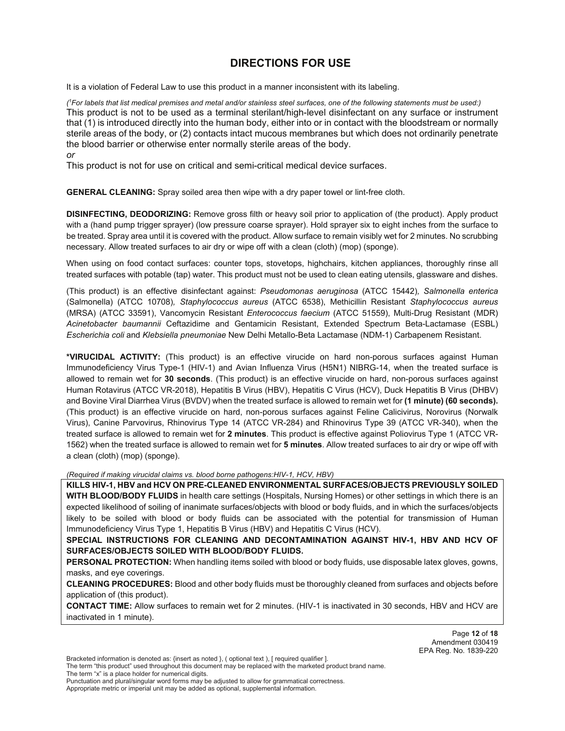## **DIRECTIONS FOR USE**

It is a violation of Federal Law to use this product in a manner inconsistent with its labeling.

*( 1 For labels that list medical premises and metal and/or stainless steel surfaces, one of the following statements must be used:)* This product is not to be used as a terminal sterilant/high-level disinfectant on any surface or instrument that (1) is introduced directly into the human body, either into or in contact with the bloodstream or normally sterile areas of the body, or (2) contacts intact mucous membranes but which does not ordinarily penetrate the blood barrier or otherwise enter normally sterile areas of the body. *or*

This product is not for use on critical and semi-critical medical device surfaces.

**GENERAL CLEANING:** Spray soiled area then wipe with a dry paper towel or lint-free cloth.

**DISINFECTING, DEODORIZING:** Remove gross filth or heavy soil prior to application of (the product). Apply product with a (hand pump trigger sprayer) (low pressure coarse sprayer). Hold sprayer six to eight inches from the surface to be treated. Spray area until it is covered with the product. Allow surface to remain visibly wet for 2 minutes. No scrubbing necessary. Allow treated surfaces to air dry or wipe off with a clean (cloth) (mop) (sponge).

When using on food contact surfaces: counter tops, stovetops, highchairs, kitchen appliances, thoroughly rinse all treated surfaces with potable (tap) water. This product must not be used to clean eating utensils, glassware and dishes.

(This product) is an effective disinfectant against: *Pseudomonas aeruginosa* (ATCC 15442)*, Salmonella enterica*  (Salmonella) (ATCC 10708)*, Staphylococcus aureus* (ATCC 6538), Methicillin Resistant *Staphylococcus aureus*  (MRSA) (ATCC 33591), Vancomycin Resistant *Enterococcus faecium* (ATCC 51559), Multi-Drug Resistant (MDR) *Acinetobacter baumannii* Ceftazidime and Gentamicin Resistant, Extended Spectrum Beta-Lactamase (ESBL) *Escherichia coli* and *Klebsiella pneumoniae* New Delhi Metallo-Beta Lactamase (NDM-1) Carbapenem Resistant.

**\*VIRUCIDAL ACTIVITY:** (This product) is an effective virucide on hard non-porous surfaces against Human Immunodeficiency Virus Type-1 (HIV-1) and Avian Influenza Virus (H5N1) NIBRG-14, when the treated surface is allowed to remain wet for **30 seconds**. (This product) is an effective virucide on hard, non-porous surfaces against Human Rotavirus (ATCC VR-2018), Hepatitis B Virus (HBV), Hepatitis C Virus (HCV), Duck Hepatitis B Virus (DHBV) and Bovine Viral Diarrhea Virus (BVDV) when the treated surface is allowed to remain wet for **(1 minute) (60 seconds).** (This product) is an effective virucide on hard, non-porous surfaces against Feline Calicivirus, Norovirus (Norwalk Virus), Canine Parvovirus, Rhinovirus Type 14 (ATCC VR-284) and Rhinovirus Type 39 (ATCC VR-340), when the treated surface is allowed to remain wet for **2 minutes**. This product is effective against Poliovirus Type 1 (ATCC VR-1562) when the treated surface is allowed to remain wet for **5 minutes**. Allow treated surfaces to air dry or wipe off with a clean (cloth) (mop) (sponge).

*(Required if making virucidal claims vs. blood borne pathogens:HIV-1, HCV, HBV)*

**KILLS HIV-1, HBV and HCV ON PRE-CLEANED ENVIRONMENTAL SURFACES/OBJECTS PREVIOUSLY SOILED WITH BLOOD/BODY FLUIDS** in health care settings (Hospitals, Nursing Homes) or other settings in which there is an expected likelihood of soiling of inanimate surfaces/objects with blood or body fluids, and in which the surfaces/objects likely to be soiled with blood or body fluids can be associated with the potential for transmission of Human Immunodeficiency Virus Type 1, Hepatitis B Virus (HBV) and Hepatitis C Virus (HCV).

**SPECIAL INSTRUCTIONS FOR CLEANING AND DECONTAMINATION AGAINST HIV-1, HBV AND HCV OF SURFACES/OBJECTS SOILED WITH BLOOD/BODY FLUIDS.**

**PERSONAL PROTECTION:** When handling items soiled with blood or body fluids, use disposable latex gloves, gowns, masks, and eye coverings.

**CLEANING PROCEDURES:** Blood and other body fluids must be thoroughly cleaned from surfaces and objects before application of (this product).

**CONTACT TIME:** Allow surfaces to remain wet for 2 minutes. (HIV-1 is inactivated in 30 seconds, HBV and HCV are inactivated in 1 minute).

Bracketed information is denoted as: {insert as noted }, ( optional text ), [ required qualifier ].

The term "this product" used throughout this document may be replaced with the marketed product brand name.

The term "x" is a place holder for numerical digits.

Punctuation and plural/singular word forms may be adjusted to allow for grammatical correctness.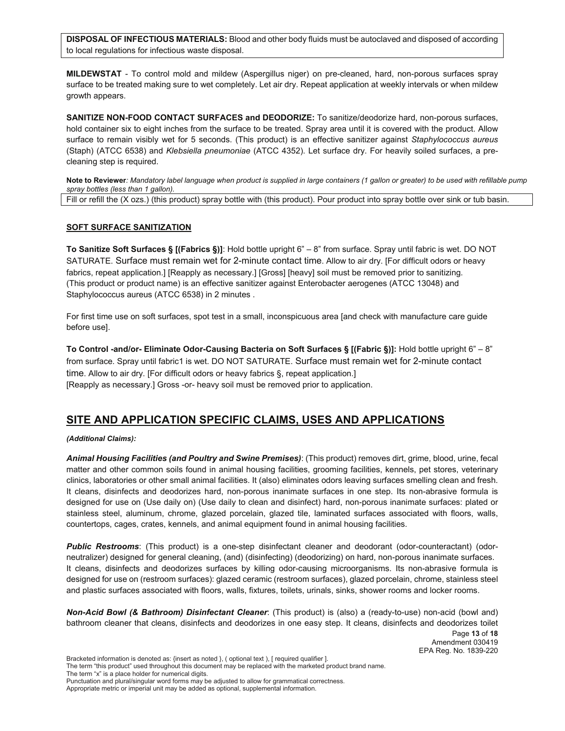**DISPOSAL OF INFECTIOUS MATERIALS:** Blood and other body fluids must be autoclaved and disposed of according to local regulations for infectious waste disposal.

**MILDEWSTAT** - To control mold and mildew (Aspergillus niger) on pre-cleaned, hard, non-porous surfaces spray surface to be treated making sure to wet completely. Let air dry. Repeat application at weekly intervals or when mildew growth appears.

**SANITIZE NON-FOOD CONTACT SURFACES and DEODORIZE:** To sanitize/deodorize hard, non-porous surfaces, hold container six to eight inches from the surface to be treated. Spray area until it is covered with the product. Allow surface to remain visibly wet for 5 seconds. (This product) is an effective sanitizer against *Staphylococcus aureus* (Staph) (ATCC 6538) and *Klebsiella pneumoniae* (ATCC 4352). Let surface dry. For heavily soiled surfaces, a precleaning step is required.

**Note to Reviewer***: Mandatory label language when product is supplied in large containers (1 gallon or greater) to be used with refillable pump spray bottles (less than 1 gallon).* Fill or refill the (X ozs.) (this product) spray bottle with (this product). Pour product into spray bottle over sink or tub basin.

#### **SOFT SURFACE SANITIZATION**

**To Sanitize Soft Surfaces § [(Fabrics §)]**: Hold bottle upright 6" – 8" from surface. Spray until fabric is wet. DO NOT SATURATE. Surface must remain wet for 2-minute contact time. Allow to air dry. [For difficult odors or heavy fabrics, repeat application.] [Reapply as necessary.] [Gross] [heavy] soil must be removed prior to sanitizing. (This product or product name) is an effective sanitizer against Enterobacter aerogenes (ATCC 13048) and Staphylococcus aureus (ATCC 6538) in 2 minutes .

For first time use on soft surfaces, spot test in a small, inconspicuous area [and check with manufacture care guide before use].

**To Control -and/or- Eliminate Odor-Causing Bacteria on Soft Surfaces § [(Fabric §)]:** Hold bottle upright 6" – 8" from surface. Spray until fabric1 is wet. DO NOT SATURATE. Surface must remain wet for 2-minute contact time. Allow to air dry. [For difficult odors or heavy fabrics §, repeat application.] [Reapply as necessary.] Gross -or- heavy soil must be removed prior to application.

### **SITE AND APPLICATION SPECIFIC CLAIMS, USES AND APPLICATIONS**

#### *(Additional Claims):*

*Animal Housing Facilities (and Poultry and Swine Premises)*: (This product) removes dirt, grime, blood, urine, fecal matter and other common soils found in animal housing facilities, grooming facilities, kennels, pet stores, veterinary clinics, laboratories or other small animal facilities. It (also) eliminates odors leaving surfaces smelling clean and fresh. It cleans, disinfects and deodorizes hard, non-porous inanimate surfaces in one step. Its non-abrasive formula is designed for use on (Use daily on) (Use daily to clean and disinfect) hard, non-porous inanimate surfaces: plated or stainless steel, aluminum, chrome, glazed porcelain, glazed tile, laminated surfaces associated with floors, walls, countertops, cages, crates, kennels, and animal equipment found in animal housing facilities.

*Public Restrooms*: (This product) is a one-step disinfectant cleaner and deodorant (odor-counteractant) (odorneutralizer) designed for general cleaning, (and) (disinfecting) (deodorizing) on hard, non-porous inanimate surfaces. It cleans, disinfects and deodorizes surfaces by killing odor-causing microorganisms. Its non-abrasive formula is designed for use on (restroom surfaces): glazed ceramic (restroom surfaces), glazed porcelain, chrome, stainless steel and plastic surfaces associated with floors, walls, fixtures, toilets, urinals, sinks, shower rooms and locker rooms.

Page **13** of **18** *Non-Acid Bowl (& Bathroom) Disinfectant Cleaner*: (This product) is (also) a (ready-to-use) non-acid (bowl and) bathroom cleaner that cleans, disinfects and deodorizes in one easy step. It cleans, disinfects and deodorizes toilet

Amendment 030419 EPA Reg. No. 1839-220

Bracketed information is denoted as: {insert as noted }, ( optional text ), [ required qualifier ].

The term "this product" used throughout this document may be replaced with the marketed product brand name.

The term "x" is a place holder for numerical digits.

Punctuation and plural/singular word forms may be adjusted to allow for grammatical correctness.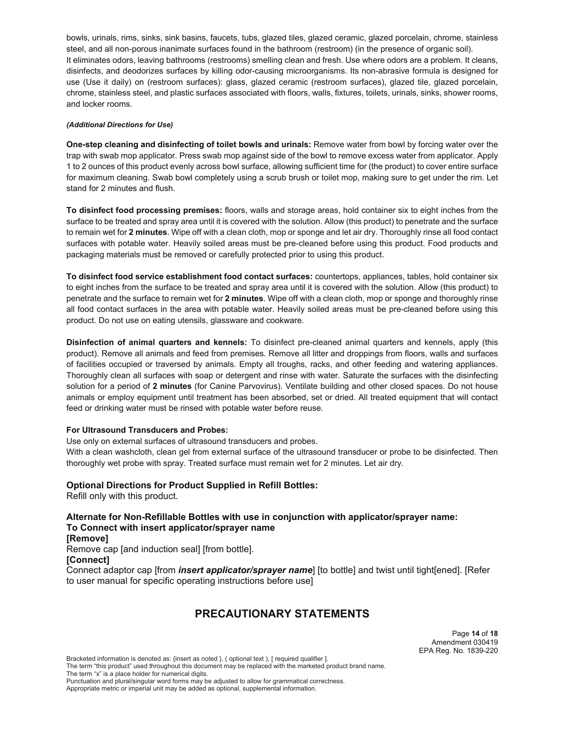bowls, urinals, rims, sinks, sink basins, faucets, tubs, glazed tiles, glazed ceramic, glazed porcelain, chrome, stainless steel, and all non-porous inanimate surfaces found in the bathroom (restroom) (in the presence of organic soil). It eliminates odors, leaving bathrooms (restrooms) smelling clean and fresh. Use where odors are a problem. It cleans, disinfects, and deodorizes surfaces by killing odor-causing microorganisms. Its non-abrasive formula is designed for use (Use it daily) on (restroom surfaces): glass, glazed ceramic (restroom surfaces), glazed tile, glazed porcelain, chrome, stainless steel, and plastic surfaces associated with floors, walls, fixtures, toilets, urinals, sinks, shower rooms, and locker rooms.

#### *(Additional Directions for Use)*

**One-step cleaning and disinfecting of toilet bowls and urinals:** Remove water from bowl by forcing water over the trap with swab mop applicator. Press swab mop against side of the bowl to remove excess water from applicator. Apply 1 to 2 ounces of this product evenly across bowl surface, allowing sufficient time for (the product) to cover entire surface for maximum cleaning. Swab bowl completely using a scrub brush or toilet mop, making sure to get under the rim. Let stand for 2 minutes and flush.

**To disinfect food processing premises:** floors, walls and storage areas, hold container six to eight inches from the surface to be treated and spray area until it is covered with the solution. Allow (this product) to penetrate and the surface to remain wet for **2 minutes**. Wipe off with a clean cloth, mop or sponge and let air dry. Thoroughly rinse all food contact surfaces with potable water. Heavily soiled areas must be pre-cleaned before using this product. Food products and packaging materials must be removed or carefully protected prior to using this product.

**To disinfect food service establishment food contact surfaces:** countertops, appliances, tables, hold container six to eight inches from the surface to be treated and spray area until it is covered with the solution. Allow (this product) to penetrate and the surface to remain wet for **2 minutes**. Wipe off with a clean cloth, mop or sponge and thoroughly rinse all food contact surfaces in the area with potable water. Heavily soiled areas must be pre-cleaned before using this product. Do not use on eating utensils, glassware and cookware.

**Disinfection of animal quarters and kennels:** To disinfect pre-cleaned animal quarters and kennels, apply (this product). Remove all animals and feed from premises. Remove all litter and droppings from floors, walls and surfaces of facilities occupied or traversed by animals. Empty all troughs, racks, and other feeding and watering appliances. Thoroughly clean all surfaces with soap or detergent and rinse with water. Saturate the surfaces with the disinfecting solution for a period of **2 minutes** (for Canine Parvovirus). Ventilate building and other closed spaces. Do not house animals or employ equipment until treatment has been absorbed, set or dried. All treated equipment that will contact feed or drinking water must be rinsed with potable water before reuse.

#### **For Ultrasound Transducers and Probes:**

Use only on external surfaces of ultrasound transducers and probes.

With a clean washcloth, clean gel from external surface of the ultrasound transducer or probe to be disinfected. Then thoroughly wet probe with spray. Treated surface must remain wet for 2 minutes. Let air dry.

#### **Optional Directions for Product Supplied in Refill Bottles:**

Refill only with this product.

**Alternate for Non-Refillable Bottles with use in conjunction with applicator/sprayer name: To Connect with insert applicator/sprayer name**

**[Remove]**

Remove cap [and induction seal] [from bottle].

**[Connect]**

Connect adaptor cap [from *insert applicator/sprayer name*] [to bottle] and twist until tight[ened]. [Refer to user manual for specific operating instructions before use]

### **PRECAUTIONARY STATEMENTS**

Page **14** of **18** Amendment 030419 EPA Reg. No. 1839-220

Bracketed information is denoted as: {insert as noted }, ( optional text ), [ required qualifier ]. The term "this product" used throughout this document may be replaced with the marketed product brand name.

The term "x" is a place holder for numerical digits.

Punctuation and plural/singular word forms may be adjusted to allow for grammatical correctness.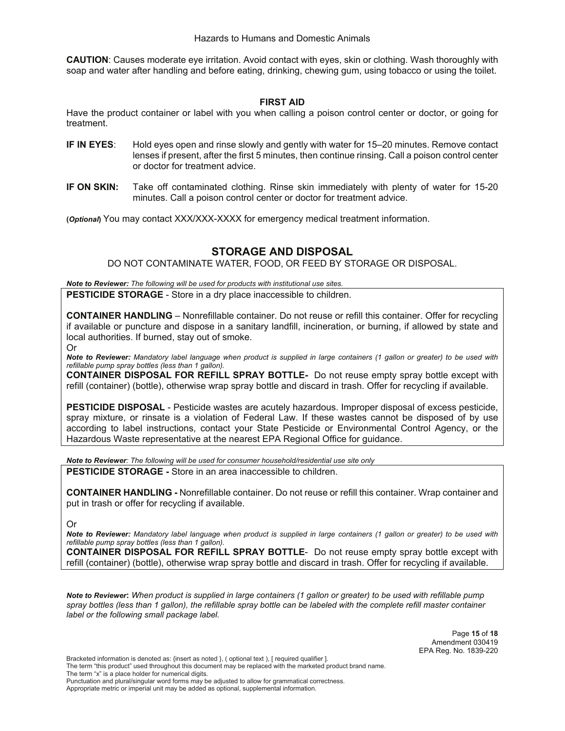**CAUTION**: Causes moderate eye irritation. Avoid contact with eyes, skin or clothing. Wash thoroughly with soap and water after handling and before eating, drinking, chewing gum, using tobacco or using the toilet.

#### **FIRST AID**

Have the product container or label with you when calling a poison control center or doctor, or going for treatment.

- **IF IN EYES**: Hold eyes open and rinse slowly and gently with water for 15–20 minutes. Remove contact lenses if present, after the first 5 minutes, then continue rinsing. Call a poison control center or doctor for treatment advice.
- **IF ON SKIN:** Take off contaminated clothing. Rinse skin immediately with plenty of water for 15-20 minutes. Call a poison control center or doctor for treatment advice.

**(***Optional***)** You may contact XXX/XXX-XXXX for emergency medical treatment information.

#### **STORAGE AND DISPOSAL**

DO NOT CONTAMINATE WATER, FOOD, OR FEED BY STORAGE OR DISPOSAL.

*Note to Reviewer: The following will be used for products with institutional use sites.*

**PESTICIDE STORAGE** - Store in a dry place inaccessible to children.

**CONTAINER HANDLING** – Nonrefillable container. Do not reuse or refill this container. Offer for recycling if available or puncture and dispose in a sanitary landfill, incineration, or burning, if allowed by state and local authorities. If burned, stay out of smoke.

Or

*Note to Reviewer: Mandatory label language when product is supplied in large containers (1 gallon or greater) to be used with refillable pump spray bottles (less than 1 gallon).*

**CONTAINER DISPOSAL FOR REFILL SPRAY BOTTLE-** Do not reuse empty spray bottle except with refill (container) (bottle), otherwise wrap spray bottle and discard in trash. Offer for recycling if available.

**PESTICIDE DISPOSAL** - Pesticide wastes are acutely hazardous. Improper disposal of excess pesticide, spray mixture, or rinsate is a violation of Federal Law. If these wastes cannot be disposed of by use according to label instructions, contact your State Pesticide or Environmental Control Agency, or the Hazardous Waste representative at the nearest EPA Regional Office for guidance.

*Note to Reviewer: The following will be used for consumer household/residential use site only*

**PESTICIDE STORAGE -** Store in an area inaccessible to children.

**CONTAINER HANDLING -** Nonrefillable container. Do not reuse or refill this container. Wrap container and put in trash or offer for recycling if available.

Or

*Note to Reviewer: Mandatory label language when product is supplied in large containers (1 gallon or greater) to be used with refillable pump spray bottles (less than 1 gallon).*

**CONTAINER DISPOSAL FOR REFILL SPRAY BOTTLE**- Do not reuse empty spray bottle except with refill (container) (bottle), otherwise wrap spray bottle and discard in trash. Offer for recycling if available.

*Note to Reviewer***:** *When product is supplied in large containers (1 gallon or greater) to be used with refillable pump spray bottles (less than 1 gallon), the refillable spray bottle can be labeled with the complete refill master container label or the following small package label.*

> Page **15** of **18** Amendment 030419 EPA Reg. No. 1839-220

Bracketed information is denoted as: {insert as noted }, ( optional text ), [ required qualifier ].

The term "this product" used throughout this document may be replaced with the marketed product brand name. The term "x" is a place holder for numerical digits.

Punctuation and plural/singular word forms may be adjusted to allow for grammatical correctness.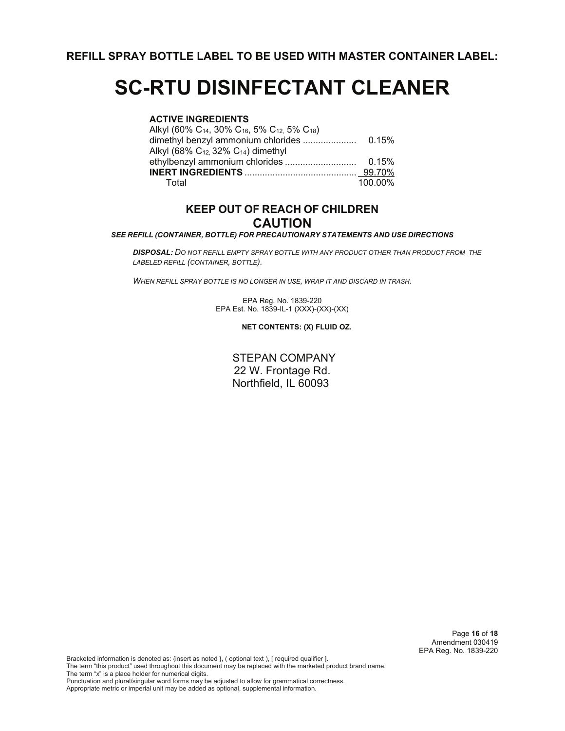## **SC-RTU DISINFECTANT CLEANER**

#### **ACTIVE INGREDIENTS**

| Alkyl (60% C <sub>14</sub> , 30% C <sub>16</sub> , 5% C <sub>12,</sub> 5% C <sub>18</sub> ) |         |
|---------------------------------------------------------------------------------------------|---------|
|                                                                                             |         |
| Alkyl (68% $C_{12}$ , 32% $C_{14}$ ) dimethyl                                               |         |
|                                                                                             |         |
|                                                                                             |         |
| Total                                                                                       | 100.00% |

## **KEEP OUT OF REACH OF CHILDREN CAUTION**

*SEE REFILL (CONTAINER, BOTTLE) FOR PRECAUTIONARY STATEMENTS AND USE DIRECTIONS*

*DISPOSAL: DO NOT REFILL EMPTY SPRAY BOTTLE WITH ANY PRODUCT OTHER THAN PRODUCT FROM THE LABELED REFILL (CONTAINER, BOTTLE).*

*WHEN REFILL SPRAY BOTTLE IS NO LONGER IN USE, WRAP IT AND DISCARD IN TRASH.*

EPA Reg. No. 1839-220 EPA Est. No. 1839-IL-1 (XXX)-(XX)-(XX)

**NET CONTENTS: (X) FLUID OZ.**

STEPAN COMPANY 22 W. Frontage Rd. Northfield, IL 60093

> Page **16** of **18** Amendment 030419 EPA Reg. No. 1839-220

Bracketed information is denoted as: {insert as noted }, ( optional text ), [ required qualifier ]. The term "this product" used throughout this document may be replaced with the marketed product brand name. The term "x" is a place holder for numerical digits.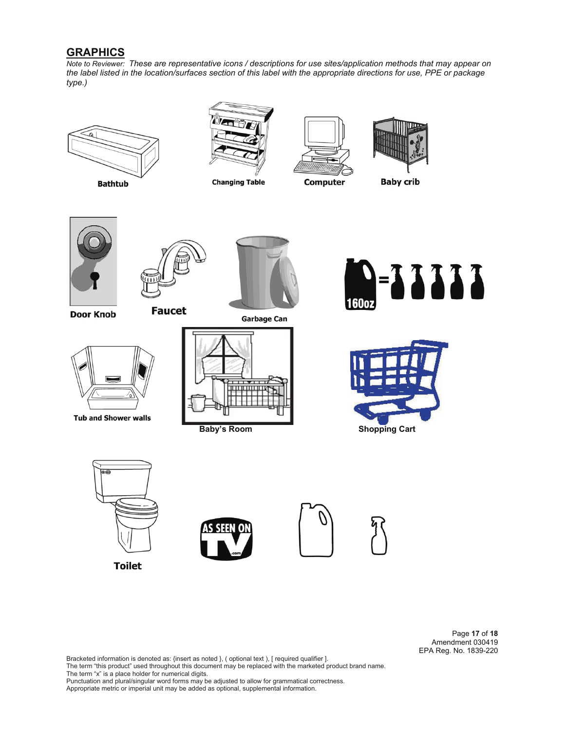## **GRAPHICS**

*Note to Reviewer: These are representative icons / descriptions for use sites/application methods that may appear on the label listed in the location/surfaces section of this label with the appropriate directions for use, PPE or package type.)*



**Bathtub** 



**Changing Table** 







**Baby crib** 



**Door Knob** 



**Tub and Shower walls** 



**Garbage Can** 









**Toilet** 





Page **17** of **18** Amendment 030419 EPA Reg. No. 1839-220

Bracketed information is denoted as: {insert as noted }, ( optional text ), [ required qualifier ]. The term "this product" used throughout this document may be replaced with the marketed product brand name. The term "x" is a place holder for numerical digits.